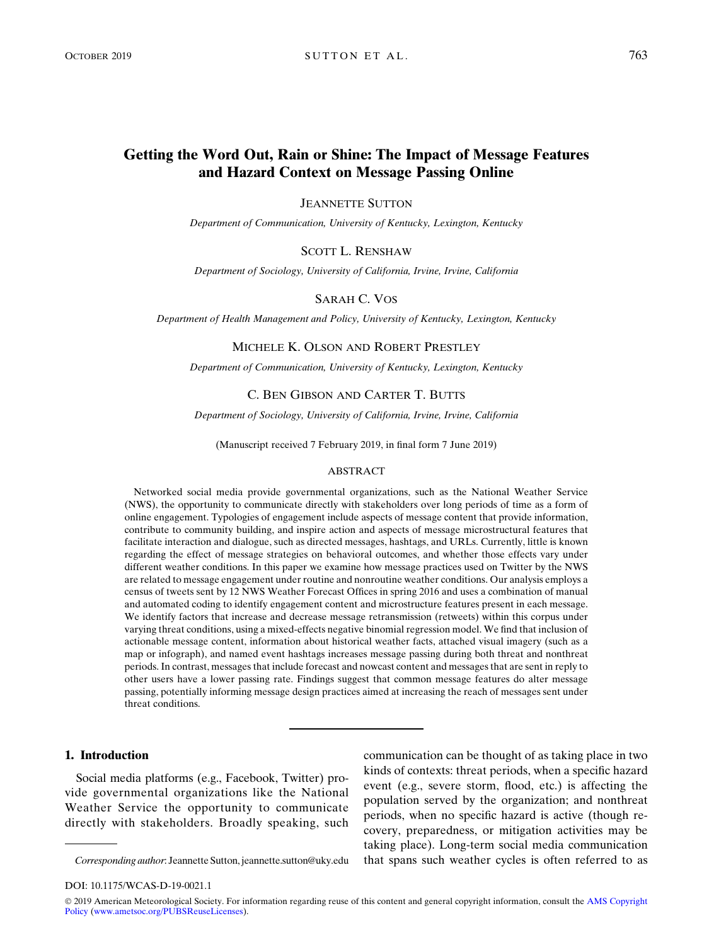# Getting the Word Out, Rain or Shine: The Impact of Message Features and Hazard Context on Message Passing Online

# JEANNETTE SUTTON

Department of Communication, University of Kentucky, Lexington, Kentucky

#### SCOTT L. RENSHAW

Department of Sociology, University of California, Irvine, Irvine, California

#### SARAH C. VOS

Department of Health Management and Policy, University of Kentucky, Lexington, Kentucky

#### MICHELE K. OLSON AND ROBERT PRESTLEY

Department of Communication, University of Kentucky, Lexington, Kentucky

#### C. BEN GIBSON AND CARTER T. BUTTS

Department of Sociology, University of California, Irvine, Irvine, California

(Manuscript received 7 February 2019, in final form 7 June 2019)

#### ABSTRACT

Networked social media provide governmental organizations, such as the National Weather Service (NWS), the opportunity to communicate directly with stakeholders over long periods of time as a form of online engagement. Typologies of engagement include aspects of message content that provide information, contribute to community building, and inspire action and aspects of message microstructural features that facilitate interaction and dialogue, such as directed messages, hashtags, and URLs. Currently, little is known regarding the effect of message strategies on behavioral outcomes, and whether those effects vary under different weather conditions. In this paper we examine how message practices used on Twitter by the NWS are related to message engagement under routine and nonroutine weather conditions. Our analysis employs a census of tweets sent by 12 NWS Weather Forecast Offices in spring 2016 and uses a combination of manual and automated coding to identify engagement content and microstructure features present in each message. We identify factors that increase and decrease message retransmission (retweets) within this corpus under varying threat conditions, using a mixed-effects negative binomial regression model. We find that inclusion of actionable message content, information about historical weather facts, attached visual imagery (such as a map or infograph), and named event hashtags increases message passing during both threat and nonthreat periods. In contrast, messages that include forecast and nowcast content and messages that are sent in reply to other users have a lower passing rate. Findings suggest that common message features do alter message passing, potentially informing message design practices aimed at increasing the reach of messages sent under threat conditions.

# 1. Introduction

Social media platforms (e.g., Facebook, Twitter) provide governmental organizations like the National Weather Service the opportunity to communicate directly with stakeholders. Broadly speaking, such

communication can be thought of as taking place in two kinds of contexts: threat periods, when a specific hazard event (e.g., severe storm, flood, etc.) is affecting the population served by the organization; and nonthreat periods, when no specific hazard is active (though recovery, preparedness, or mitigation activities may be taking place). Long-term social media communication Corresponding author: Jeannette Sutton, [jeannette.sutton@uky.edu](mailto:jeannette.sutton@uky.edu) that spans such weather cycles is often referred to as

© 2019 American Meteorological Society. For information regarding reuse of this content and general copyright information, consult the [AMS Copyright](http://www.ametsoc.org/PUBSReuseLicenses)<br>[Policy](http://www.ametsoc.org/PUBSReuseLicenses) [\(www.ametsoc.org/PUBSReuseLicenses](http://www.ametsoc.org/PUBSReuseLicenses)).

DOI: 10.1175/WCAS-D-19-0021.1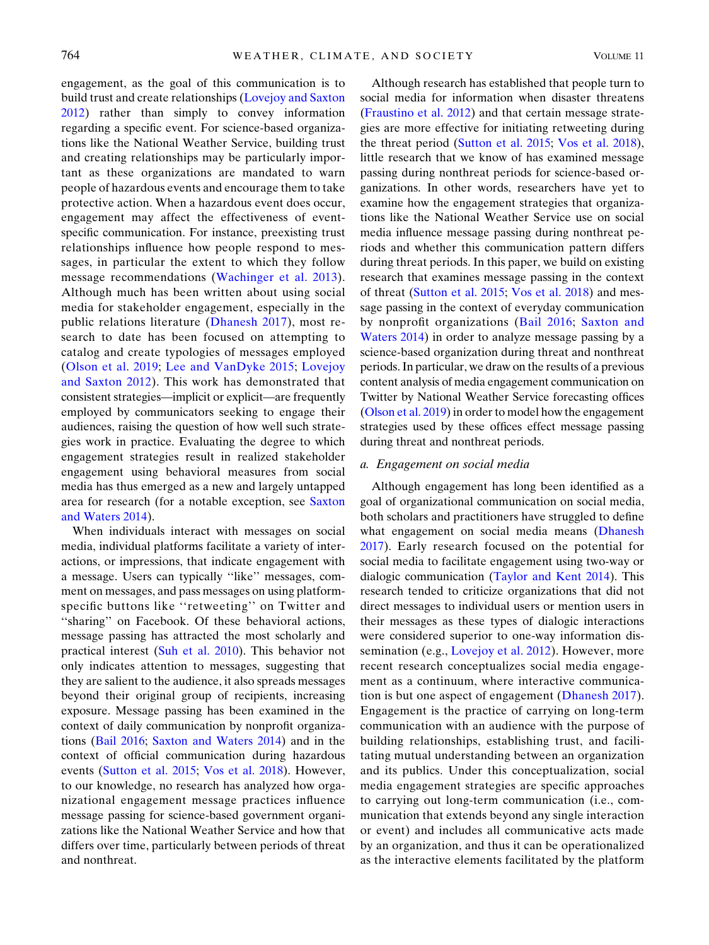engagement, as the goal of this communication is to build trust and create relationships [\(Lovejoy and Saxton](#page-12-0) [2012\)](#page-12-0) rather than simply to convey information regarding a specific event. For science-based organizations like the National Weather Service, building trust and creating relationships may be particularly important as these organizations are mandated to warn people of hazardous events and encourage them to take protective action. When a hazardous event does occur, engagement may affect the effectiveness of eventspecific communication. For instance, preexisting trust relationships influence how people respond to messages, in particular the extent to which they follow message recommendations ([Wachinger et al. 2013\)](#page-13-0). Although much has been written about using social media for stakeholder engagement, especially in the public relations literature ([Dhanesh 2017\)](#page-12-1), most research to date has been focused on attempting to catalog and create typologies of messages employed ([Olson et al. 2019;](#page-12-2) [Lee and VanDyke 2015](#page-12-3); [Lovejoy](#page-12-0) [and Saxton 2012](#page-12-0)). This work has demonstrated that consistent strategies—implicit or explicit—are frequently employed by communicators seeking to engage their audiences, raising the question of how well such strategies work in practice. Evaluating the degree to which engagement strategies result in realized stakeholder engagement using behavioral measures from social media has thus emerged as a new and largely untapped area for research (for a notable exception, see [Saxton](#page-12-4) [and Waters 2014\)](#page-12-4).

When individuals interact with messages on social media, individual platforms facilitate a variety of interactions, or impressions, that indicate engagement with a message. Users can typically ''like'' messages, comment on messages, and pass messages on using platformspecific buttons like ''retweeting'' on Twitter and "sharing" on Facebook. Of these behavioral actions, message passing has attracted the most scholarly and practical interest ([Suh et al. 2010\)](#page-13-1). This behavior not only indicates attention to messages, suggesting that they are salient to the audience, it also spreads messages beyond their original group of recipients, increasing exposure. Message passing has been examined in the context of daily communication by nonprofit organizations [\(Bail 2016;](#page-12-5) [Saxton and Waters 2014\)](#page-12-4) and in the context of official communication during hazardous events [\(Sutton et al. 2015;](#page-13-2) [Vos et al. 2018](#page-13-3)). However, to our knowledge, no research has analyzed how organizational engagement message practices influence message passing for science-based government organizations like the National Weather Service and how that differs over time, particularly between periods of threat and nonthreat.

Although research has established that people turn to social media for information when disaster threatens ([Fraustino et al. 2012](#page-12-6)) and that certain message strategies are more effective for initiating retweeting during the threat period [\(Sutton et al. 2015](#page-13-2); [Vos et al. 2018](#page-13-3)), little research that we know of has examined message passing during nonthreat periods for science-based organizations. In other words, researchers have yet to examine how the engagement strategies that organizations like the National Weather Service use on social media influence message passing during nonthreat periods and whether this communication pattern differs during threat periods. In this paper, we build on existing research that examines message passing in the context of threat ([Sutton et al. 2015;](#page-13-2) [Vos et al. 2018\)](#page-13-3) and message passing in the context of everyday communication by nonprofit organizations ([Bail 2016;](#page-12-5) [Saxton and](#page-12-4) [Waters 2014](#page-12-4)) in order to analyze message passing by a science-based organization during threat and nonthreat periods. In particular, we draw on the results of a previous content analysis of media engagement communication on Twitter by National Weather Service forecasting offices ([Olson et al. 2019\)](#page-12-2) in order to model how the engagement strategies used by these offices effect message passing during threat and nonthreat periods.

## a. Engagement on social media

Although engagement has long been identified as a goal of organizational communication on social media, both scholars and practitioners have struggled to define what engagement on social media means ([Dhanesh](#page-12-1) [2017\)](#page-12-1). Early research focused on the potential for social media to facilitate engagement using two-way or dialogic communication ([Taylor and Kent 2014\)](#page-13-4). This research tended to criticize organizations that did not direct messages to individual users or mention users in their messages as these types of dialogic interactions were considered superior to one-way information dissemination (e.g., [Lovejoy et al. 2012\)](#page-12-7). However, more recent research conceptualizes social media engagement as a continuum, where interactive communication is but one aspect of engagement [\(Dhanesh 2017](#page-12-1)). Engagement is the practice of carrying on long-term communication with an audience with the purpose of building relationships, establishing trust, and facilitating mutual understanding between an organization and its publics. Under this conceptualization, social media engagement strategies are specific approaches to carrying out long-term communication (i.e., communication that extends beyond any single interaction or event) and includes all communicative acts made by an organization, and thus it can be operationalized as the interactive elements facilitated by the platform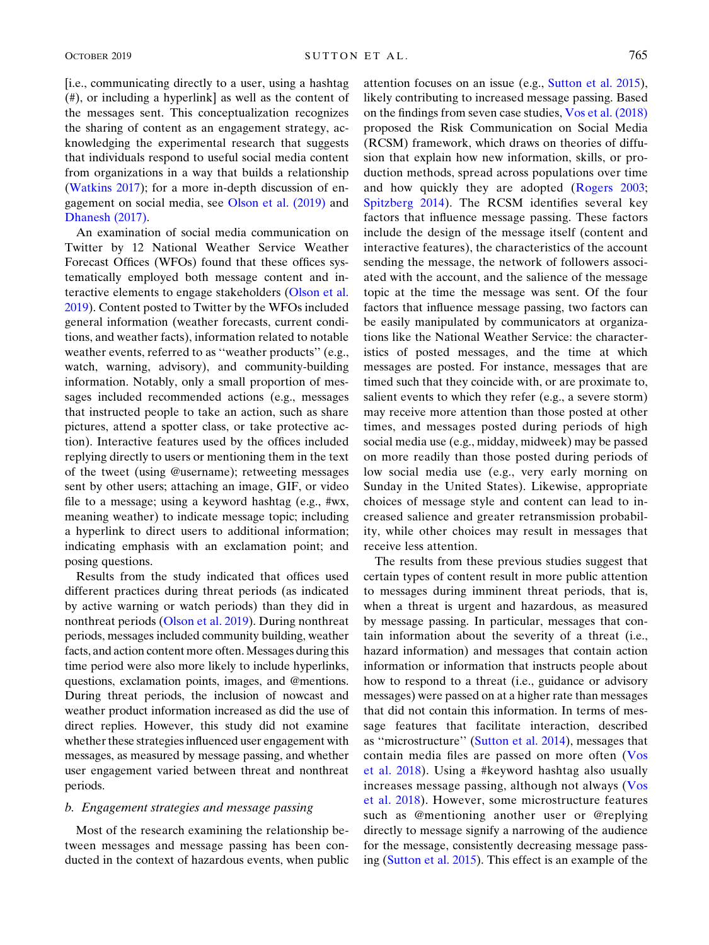[i.e., communicating directly to a user, using a hashtag (#), or including a hyperlink] as well as the content of the messages sent. This conceptualization recognizes the sharing of content as an engagement strategy, acknowledging the experimental research that suggests that individuals respond to useful social media content from organizations in a way that builds a relationship [\(Watkins 2017](#page-13-5)); for a more in-depth discussion of engagement on social media, see [Olson et al. \(2019\)](#page-12-2) and [Dhanesh \(2017\)](#page-12-1).

An examination of social media communication on Twitter by 12 National Weather Service Weather Forecast Offices (WFOs) found that these offices systematically employed both message content and interactive elements to engage stakeholders [\(Olson et al.](#page-12-2) [2019\)](#page-12-2). Content posted to Twitter by the WFOs included general information (weather forecasts, current conditions, and weather facts), information related to notable weather events, referred to as ''weather products'' (e.g., watch, warning, advisory), and community-building information. Notably, only a small proportion of messages included recommended actions (e.g., messages that instructed people to take an action, such as share pictures, attend a spotter class, or take protective action). Interactive features used by the offices included replying directly to users or mentioning them in the text of the tweet (using @username); retweeting messages sent by other users; attaching an image, GIF, or video file to a message; using a keyword hashtag (e.g., #wx, meaning weather) to indicate message topic; including a hyperlink to direct users to additional information; indicating emphasis with an exclamation point; and posing questions.

Results from the study indicated that offices used different practices during threat periods (as indicated by active warning or watch periods) than they did in nonthreat periods ([Olson et al. 2019\)](#page-12-2). During nonthreat periods, messages included community building, weather facts, and action content more often. Messages during this time period were also more likely to include hyperlinks, questions, exclamation points, images, and @mentions. During threat periods, the inclusion of nowcast and weather product information increased as did the use of direct replies. However, this study did not examine whether these strategies influenced user engagement with messages, as measured by message passing, and whether user engagement varied between threat and nonthreat periods.

#### b. Engagement strategies and message passing

Most of the research examining the relationship between messages and message passing has been conducted in the context of hazardous events, when public attention focuses on an issue (e.g., [Sutton et al. 2015](#page-13-2)), likely contributing to increased message passing. Based on the findings from seven case studies, [Vos et al. \(2018\)](#page-13-3) proposed the Risk Communication on Social Media (RCSM) framework, which draws on theories of diffusion that explain how new information, skills, or production methods, spread across populations over time and how quickly they are adopted [\(Rogers 2003;](#page-12-8) [Spitzberg 2014\)](#page-13-6). The RCSM identifies several key factors that influence message passing. These factors include the design of the message itself (content and interactive features), the characteristics of the account sending the message, the network of followers associated with the account, and the salience of the message topic at the time the message was sent. Of the four factors that influence message passing, two factors can be easily manipulated by communicators at organizations like the National Weather Service: the characteristics of posted messages, and the time at which messages are posted. For instance, messages that are timed such that they coincide with, or are proximate to, salient events to which they refer (e.g., a severe storm) may receive more attention than those posted at other times, and messages posted during periods of high social media use (e.g., midday, midweek) may be passed on more readily than those posted during periods of low social media use (e.g., very early morning on Sunday in the United States). Likewise, appropriate choices of message style and content can lead to increased salience and greater retransmission probability, while other choices may result in messages that receive less attention.

The results from these previous studies suggest that certain types of content result in more public attention to messages during imminent threat periods, that is, when a threat is urgent and hazardous, as measured by message passing. In particular, messages that contain information about the severity of a threat (i.e., hazard information) and messages that contain action information or information that instructs people about how to respond to a threat (i.e., guidance or advisory messages) were passed on at a higher rate than messages that did not contain this information. In terms of message features that facilitate interaction, described as ''microstructure'' ([Sutton et al. 2014](#page-13-7)), messages that contain media files are passed on more often [\(Vos](#page-13-3) [et al. 2018\)](#page-13-3). Using a #keyword hashtag also usually increases message passing, although not always [\(Vos](#page-13-3) [et al. 2018](#page-13-3)). However, some microstructure features such as @mentioning another user or @replying directly to message signify a narrowing of the audience for the message, consistently decreasing message passing ([Sutton et al. 2015\)](#page-13-2). This effect is an example of the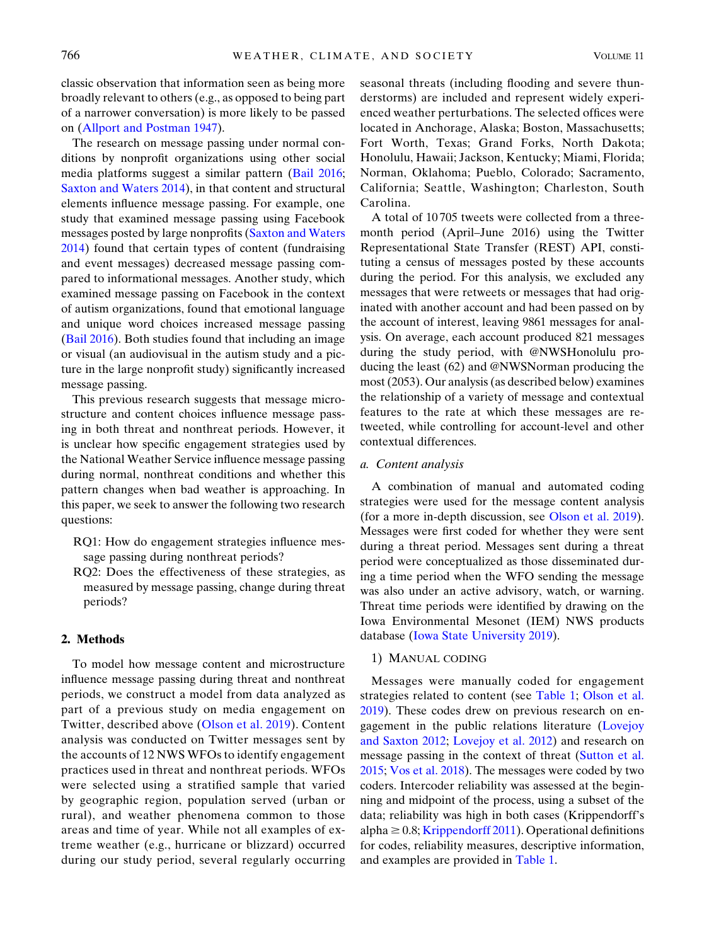classic observation that information seen as being more broadly relevant to others (e.g., as opposed to being part of a narrower conversation) is more likely to be passed on ([Allport and Postman 1947\)](#page-12-9).

The research on message passing under normal conditions by nonprofit organizations using other social media platforms suggest a similar pattern ([Bail 2016;](#page-12-5) [Saxton and Waters 2014](#page-12-4)), in that content and structural elements influence message passing. For example, one study that examined message passing using Facebook messages posted by large nonprofits [\(Saxton and Waters](#page-12-4) [2014\)](#page-12-4) found that certain types of content (fundraising and event messages) decreased message passing compared to informational messages. Another study, which examined message passing on Facebook in the context of autism organizations, found that emotional language and unique word choices increased message passing ([Bail 2016\)](#page-12-5). Both studies found that including an image or visual (an audiovisual in the autism study and a picture in the large nonprofit study) significantly increased message passing.

This previous research suggests that message microstructure and content choices influence message passing in both threat and nonthreat periods. However, it is unclear how specific engagement strategies used by the National Weather Service influence message passing during normal, nonthreat conditions and whether this pattern changes when bad weather is approaching. In this paper, we seek to answer the following two research questions:

- RQ1: How do engagement strategies influence message passing during nonthreat periods?
- RQ2: Does the effectiveness of these strategies, as measured by message passing, change during threat periods?

#### 2. Methods

To model how message content and microstructure influence message passing during threat and nonthreat periods, we construct a model from data analyzed as part of a previous study on media engagement on Twitter, described above [\(Olson et al. 2019\)](#page-12-2). Content analysis was conducted on Twitter messages sent by the accounts of 12 NWS WFOs to identify engagement practices used in threat and nonthreat periods. WFOs were selected using a stratified sample that varied by geographic region, population served (urban or rural), and weather phenomena common to those areas and time of year. While not all examples of extreme weather (e.g., hurricane or blizzard) occurred during our study period, several regularly occurring

seasonal threats (including flooding and severe thunderstorms) are included and represent widely experienced weather perturbations. The selected offices were located in Anchorage, Alaska; Boston, Massachusetts; Fort Worth, Texas; Grand Forks, North Dakota; Honolulu, Hawaii; Jackson, Kentucky; Miami, Florida; Norman, Oklahoma; Pueblo, Colorado; Sacramento, California; Seattle, Washington; Charleston, South Carolina.

A total of 10 705 tweets were collected from a threemonth period (April–June 2016) using the Twitter Representational State Transfer (REST) API, constituting a census of messages posted by these accounts during the period. For this analysis, we excluded any messages that were retweets or messages that had originated with another account and had been passed on by the account of interest, leaving 9861 messages for analysis. On average, each account produced 821 messages during the study period, with @NWSHonolulu producing the least (62) and @NWSNorman producing the most (2053). Our analysis (as described below) examines the relationship of a variety of message and contextual features to the rate at which these messages are retweeted, while controlling for account-level and other contextual differences.

# a. Content analysis

A combination of manual and automated coding strategies were used for the message content analysis (for a more in-depth discussion, see [Olson et al. 2019](#page-12-2)). Messages were first coded for whether they were sent during a threat period. Messages sent during a threat period were conceptualized as those disseminated during a time period when the WFO sending the message was also under an active advisory, watch, or warning. Threat time periods were identified by drawing on the Iowa Environmental Mesonet (IEM) NWS products database ([Iowa State University 2019\)](#page-12-10).

## 1) MANUAL CODING

Messages were manually coded for engagement strategies related to content (see [Table 1](#page-4-0); [Olson et al.](#page-12-2) [2019\)](#page-12-2). These codes drew on previous research on engagement in the public relations literature ([Lovejoy](#page-12-0) [and Saxton 2012;](#page-12-0) [Lovejoy et al. 2012\)](#page-12-7) and research on message passing in the context of threat ([Sutton et al.](#page-13-2) [2015;](#page-13-2) [Vos et al. 2018\)](#page-13-3). The messages were coded by two coders. Intercoder reliability was assessed at the beginning and midpoint of the process, using a subset of the data; reliability was high in both cases (Krippendorff's alpha  $\geq 0.8$ ; [Krippendorff 2011\)](#page-12-11). Operational definitions for codes, reliability measures, descriptive information, and examples are provided in [Table 1](#page-4-0).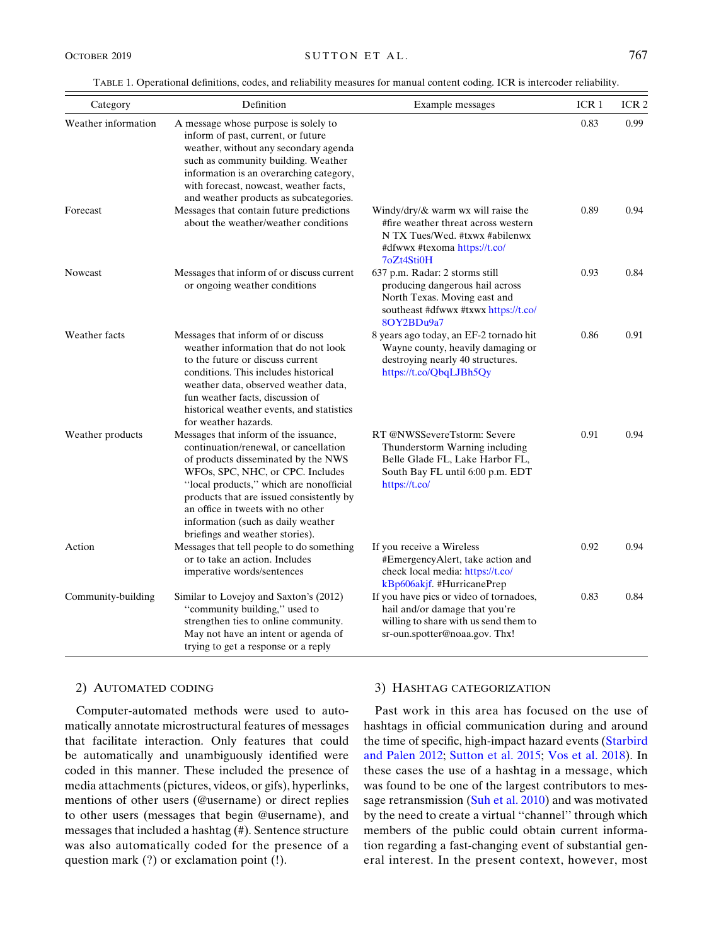TABLE 1. Operational definitions, codes, and reliability measures for manual content coding. ICR is intercoder reliability.

<span id="page-4-0"></span>

| Category            | Definition                                                                                                                                                                                                                                                                                                                                                     | Example messages                                                                                                                                              | ICR <sub>1</sub> | ICR <sub>2</sub> |
|---------------------|----------------------------------------------------------------------------------------------------------------------------------------------------------------------------------------------------------------------------------------------------------------------------------------------------------------------------------------------------------------|---------------------------------------------------------------------------------------------------------------------------------------------------------------|------------------|------------------|
| Weather information | A message whose purpose is solely to<br>inform of past, current, or future<br>weather, without any secondary agenda<br>such as community building. Weather<br>information is an overarching category,<br>with forecast, nowcast, weather facts,<br>and weather products as subcategories.                                                                      |                                                                                                                                                               | 0.83             | 0.99             |
| Forecast            | Messages that contain future predictions<br>about the weather/weather conditions                                                                                                                                                                                                                                                                               | Windy/dry/ $\&$ warm wx will raise the<br>#fire weather threat across western<br>N TX Tues/Wed. #txwx #abilenwx<br>#dfwwx #texoma https://t.co/<br>7oZt4Sti0H | 0.89             | 0.94             |
| Nowcast             | Messages that inform of or discuss current<br>or ongoing weather conditions                                                                                                                                                                                                                                                                                    | 637 p.m. Radar: 2 storms still<br>producing dangerous hail across<br>North Texas. Moving east and<br>southeast #dfwwx #txwx https://t.co/<br>8OY2BDu9a7       | 0.93             | 0.84             |
| Weather facts       | Messages that inform of or discuss<br>weather information that do not look<br>to the future or discuss current<br>conditions. This includes historical<br>weather data, observed weather data,<br>fun weather facts, discussion of<br>historical weather events, and statistics<br>for weather hazards.                                                        | 8 years ago today, an EF-2 tornado hit<br>Wayne county, heavily damaging or<br>destroying nearly 40 structures.<br>https://t.co/QbqLJBh5Qy                    | 0.86             | 0.91             |
| Weather products    | Messages that inform of the issuance,<br>continuation/renewal, or cancellation<br>of products disseminated by the NWS<br>WFOs, SPC, NHC, or CPC. Includes<br>"local products," which are nonofficial<br>products that are issued consistently by<br>an office in tweets with no other<br>information (such as daily weather<br>briefings and weather stories). | RT @NWSSevereTstorm: Severe<br>Thunderstorm Warning including<br>Belle Glade FL, Lake Harbor FL,<br>South Bay FL until 6:00 p.m. EDT<br>https://t.co/         | 0.91             | 0.94             |
| Action              | Messages that tell people to do something<br>or to take an action. Includes<br>imperative words/sentences                                                                                                                                                                                                                                                      | If you receive a Wireless<br>#EmergencyAlert, take action and<br>check local media: https://t.co/<br>kBp606akjf. #HurricanePrep                               | 0.92             | 0.94             |
| Community-building  | Similar to Lovejoy and Saxton's (2012)<br>"community building," used to<br>strengthen ties to online community.<br>May not have an intent or agenda of<br>trying to get a response or a reply                                                                                                                                                                  | If you have pics or video of tornadoes,<br>hail and/or damage that you're<br>willing to share with us send them to<br>sr-oun.spotter@noaa.gov. Thx!           | 0.83             | 0.84             |

## 2) AUTOMATED CODING

Computer-automated methods were used to automatically annotate microstructural features of messages that facilitate interaction. Only features that could be automatically and unambiguously identified were coded in this manner. These included the presence of media attachments (pictures, videos, or gifs), hyperlinks, mentions of other users (@username) or direct replies to other users (messages that begin @username), and messages that included a hashtag (#). Sentence structure was also automatically coded for the presence of a question mark (?) or exclamation point (!).

# 3) HASHTAG CATEGORIZATION

Past work in this area has focused on the use of hashtags in official communication during and around the time of specific, high-impact hazard events ([Starbird](#page-13-8) [and Palen 2012](#page-13-8); [Sutton et al. 2015;](#page-13-2) [Vos et al. 2018](#page-13-3)). In these cases the use of a hashtag in a message, which was found to be one of the largest contributors to message retransmission ([Suh et al. 2010\)](#page-13-1) and was motivated by the need to create a virtual ''channel'' through which members of the public could obtain current information regarding a fast-changing event of substantial general interest. In the present context, however, most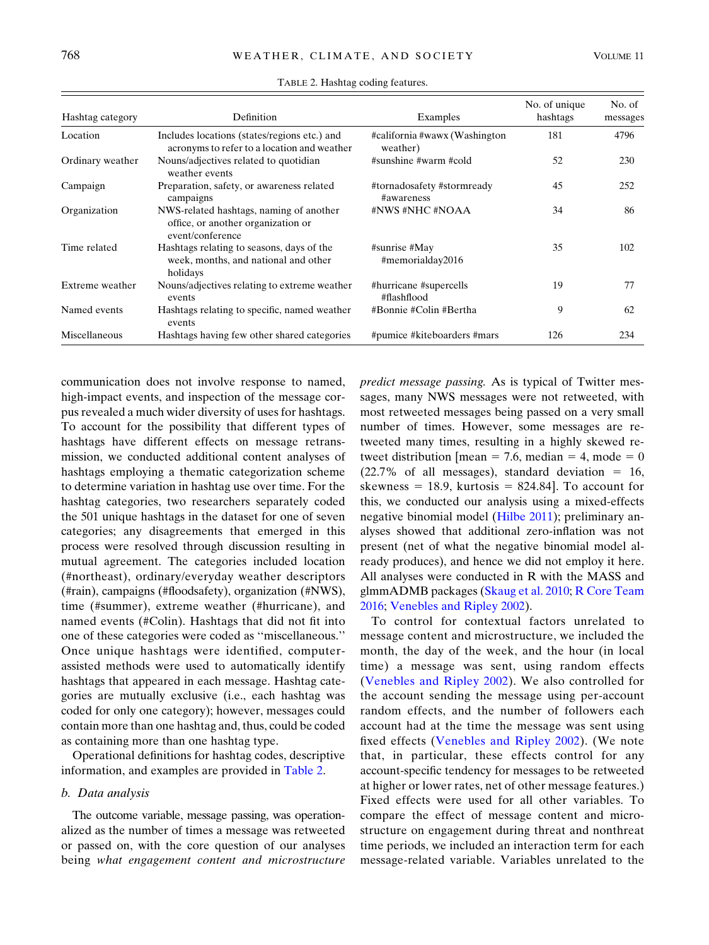<span id="page-5-0"></span>

| Hashtag category | Definition                                                                                        | Examples                                  | No. of unique<br>hashtags | No. of<br>messages |
|------------------|---------------------------------------------------------------------------------------------------|-------------------------------------------|---------------------------|--------------------|
| Location         | Includes locations (states/regions etc.) and<br>acronyms to refer to a location and weather       | #california #wawx (Washington<br>weather) | 181                       | 4796               |
| Ordinary weather | Nouns/adjectives related to quotidian<br>weather events                                           | #sunshine #warm #cold                     | 52                        | 230                |
| Campaign         | Preparation, safety, or awareness related<br>campaigns                                            | #tornadosafety #stormready<br>#awareness  | 45                        | 252                |
| Organization     | NWS-related hashtags, naming of another<br>office, or another organization or<br>event/conference | #NWS #NHC #NOAA                           | 34                        | 86                 |
| Time related     | Hashtags relating to seasons, days of the<br>week, months, and national and other<br>holidays     | #sunrise #May<br>#memorialday2016         | 35                        | 102                |
| Extreme weather  | Nouns/adjectives relating to extreme weather<br>events                                            | #hurricane #supercells<br>#flashflood     | 19                        | 77                 |
| Named events     | Hashtags relating to specific, named weather<br>events                                            | #Bonnie #Colin #Bertha                    | 9                         | 62                 |
| Miscellaneous    | Hashtags having few other shared categories                                                       | #pumice #kiteboarders #mars               | 126                       | 234                |

TABLE 2. Hashtag coding features.

communication does not involve response to named, high-impact events, and inspection of the message corpus revealed a much wider diversity of uses for hashtags. To account for the possibility that different types of hashtags have different effects on message retransmission, we conducted additional content analyses of hashtags employing a thematic categorization scheme to determine variation in hashtag use over time. For the hashtag categories, two researchers separately coded the 501 unique hashtags in the dataset for one of seven categories; any disagreements that emerged in this process were resolved through discussion resulting in mutual agreement. The categories included location (#northeast), ordinary/everyday weather descriptors (#rain), campaigns (#floodsafety), organization (#NWS), time (#summer), extreme weather (#hurricane), and named events (#Colin). Hashtags that did not fit into one of these categories were coded as ''miscellaneous.'' Once unique hashtags were identified, computerassisted methods were used to automatically identify hashtags that appeared in each message. Hashtag categories are mutually exclusive (i.e., each hashtag was coded for only one category); however, messages could contain more than one hashtag and, thus, could be coded as containing more than one hashtag type.

Operational definitions for hashtag codes, descriptive information, and examples are provided in [Table 2](#page-5-0).

#### b. Data analysis

The outcome variable, message passing, was operationalized as the number of times a message was retweeted or passed on, with the core question of our analyses being what engagement content and microstructure predict message passing. As is typical of Twitter messages, many NWS messages were not retweeted, with most retweeted messages being passed on a very small number of times. However, some messages are retweeted many times, resulting in a highly skewed retweet distribution [mean = 7.6, median = 4, mode = 0  $(22.7\% \text{ of all messages})$ , standard deviation = 16, skewness = 18.9, kurtosis = 824.84]. To account for this, we conducted our analysis using a mixed-effects negative binomial model [\(Hilbe 2011](#page-12-12)); preliminary analyses showed that additional zero-inflation was not present (net of what the negative binomial model already produces), and hence we did not employ it here. All analyses were conducted in R with the MASS and glmmADMB packages ([Skaug et al. 2010](#page-12-13); [R Core Team](#page-12-14) [2016;](#page-12-14) [Venebles and Ripley 2002\)](#page-13-9).

To control for contextual factors unrelated to message content and microstructure, we included the month, the day of the week, and the hour (in local time) a message was sent, using random effects ([Venebles and Ripley 2002\)](#page-13-9). We also controlled for the account sending the message using per-account random effects, and the number of followers each account had at the time the message was sent using fixed effects [\(Venebles and Ripley 2002\)](#page-13-9). (We note that, in particular, these effects control for any account-specific tendency for messages to be retweeted at higher or lower rates, net of other message features.) Fixed effects were used for all other variables. To compare the effect of message content and microstructure on engagement during threat and nonthreat time periods, we included an interaction term for each message-related variable. Variables unrelated to the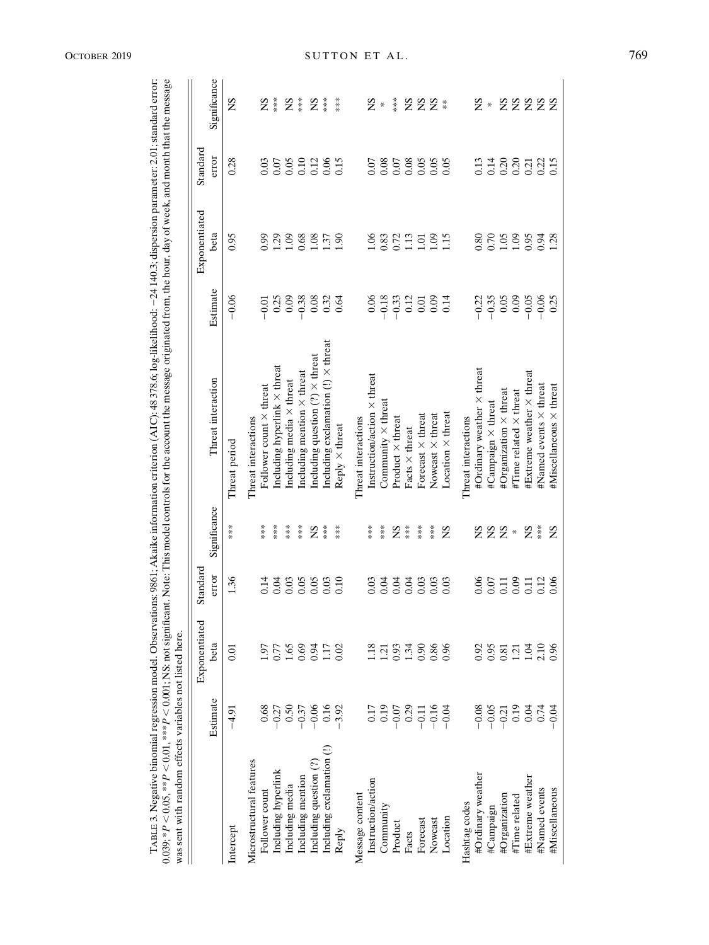<span id="page-6-0"></span>

| re originated from, the hour, day of week, and month that the me<br>significant. Note: This model controls for the account the messag<br>ίé.<br>CALC TIONIC IS OF WO<br>こう かいへいかい こう<br>$\frac{1}{2}$ |
|-------------------------------------------------------------------------------------------------------------------------------------------------------------------------------------------------------|
|                                                                                                                                                                                                       |

|                           |          | Exponentiated                 | Standard                     |                  |                                           |                                             | Exponentiated                | Standard              |              |
|---------------------------|----------|-------------------------------|------------------------------|------------------|-------------------------------------------|---------------------------------------------|------------------------------|-----------------------|--------------|
|                           | Estimate | beta                          | error                        | Significance     | Threat interaction                        | Estimate                                    | beta                         | error                 | Significance |
| Intercept                 | $-4.91$  | 0.01                          | 1.36                         | ***              | Threat period                             | $-0.06$                                     | 0.95                         | 0.28                  | SN           |
| Microstructural features  |          |                               |                              |                  | Threat interactions                       |                                             |                              |                       |              |
| Follower count            | 0.68     | 1.97                          | 0.14                         | $***$            | Follower count $\times$ threat            | $-0.01$                                     | 0.99                         | 0.03                  | SN           |
| Including hyperlink       | $-0.27$  | 0.77                          | 0.04                         |                  | Including hyperlink $\times$ threat       |                                             | 1.29                         | 0.07                  |              |
| Including media           | 0.50     |                               |                              | $***$            | Including media × threat                  | $0.25$<br>0.09                              |                              |                       | $X^*$        |
| Including mention         | $-0.37$  | $1.65$<br>0.69                | 0.03                         | $***$            | Including mention $\times$ threat         | $-0.38$                                     | 1.09                         | 83285<br>000385       |              |
| Including question (?)    | $-0.06$  | 0.94                          | 0.05                         | $S_{\rm N}$      | Including question $(?) \times$ threat    | $0.32$<br>0.32<br>0.64                      | $1.36$<br>$1.37$             |                       | SN           |
| Including exclamation (!) | $-3.92$  | $\frac{1.17}{0.02}$           | 0.03                         | $***$            | Including exclamation $(!) \times$ threat |                                             |                              |                       | $**$         |
| Reply                     |          |                               | 0.10                         | ***              | Reply $\times$ threat                     |                                             |                              |                       | $**$         |
| Message content           |          |                               |                              |                  | Threat interactions                       |                                             |                              |                       |              |
| Instruction/action        | 0.17     | 1.18                          | 0.03                         | $***$            | Instruction/action $\times$ threat        |                                             |                              | 0.07                  | SN           |
| Community                 | 0.19     |                               |                              | $***$            | Community $\times$ threat                 | $-0.18$<br>$-0.33$                          | $\frac{883775}{0071}$        | 88<br>0.07<br>0.08    | $\ast$       |
| Product                   | $-0.07$  | $\frac{12}{0}$ $\frac{34}{1}$ | 555<br>255                   | $S_{\mathbf{N}}$ | Product X threat                          |                                             |                              |                       |              |
| Facts                     | 0.29     |                               |                              | $**\ast$         | Facts $\times$ threat                     |                                             |                              |                       |              |
| Forecast                  | $-0.11$  | 0.90                          | 0.03                         | ***              | Forecast $\times$ threat                  | $\begin{array}{c} 0.12 \\ 0.01 \end{array}$ |                              |                       | <b>222*</b>  |
| Nowcast                   | $-0.16$  | 0.86                          | $\frac{0.03}{0.03}$          | $***$            | Nowcast × threat                          | $0.09$<br>0.14                              | $\frac{1.15}{1.15}$          | 0.05                  |              |
| Location                  | $-0.04$  | 0.96                          |                              | SN               | Location × threat                         |                                             |                              |                       |              |
| Hashtag codes             |          |                               |                              |                  | Threat interactions                       |                                             |                              |                       |              |
| #Ordinary weather         | $-0.08$  | 0.92                          | 0.06                         |                  | #Ordinary weather $\times$ threat         | $-0.22$                                     | 0.80                         | 0.13                  | SN           |
| #Campaign                 | $-0.05$  |                               |                              |                  | #Campaign × threat                        | $-0.35$                                     |                              |                       | $\ast$       |
| #Organization             | $-0.21$  |                               |                              | 222              | #Organization × threat                    | $\begin{array}{c} 0.05 \\ 0.09 \end{array}$ |                              |                       |              |
| #Time related             | 0.19     |                               |                              | $\ast$           | $\#Time$ related $\times$ threat          |                                             |                              |                       |              |
| #Extreme weather          | 0.04     | 9811310<br>0811310            | 0.01<br>0.00<br>0.01<br>0.12 | SN               | $#Extreme$ weather $\times$ threat        | $-0.05$                                     | 0.70<br>1.05<br>1.09<br>0.94 | 14<br>0200212<br>0200 | <b>22222</b> |
| #Named events             | 0.74     |                               |                              | $***$            | $\#$ Named events $\times$ threat         | $-0.06$                                     |                              |                       |              |
| #Miscellaneous            | $-0.04$  | 0.96                          | 0.06                         | SN               | #Miscellaneous × threat                   | 0.25                                        | 1.28                         | 0.15                  |              |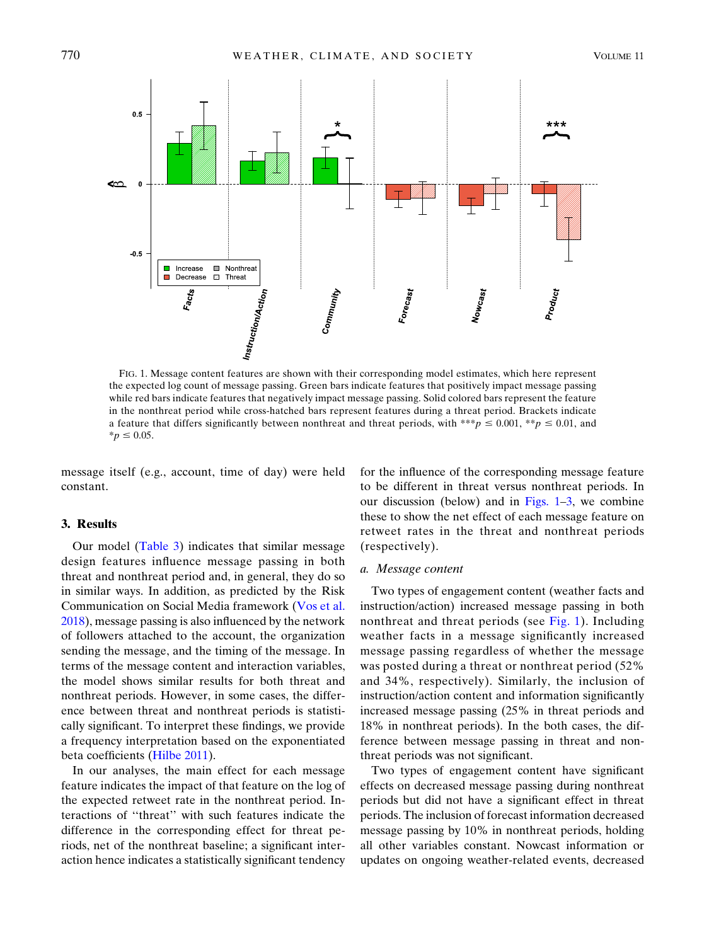<span id="page-7-0"></span>

FIG. 1. Message content features are shown with their corresponding model estimates, which here represent the expected log count of message passing. Green bars indicate features that positively impact message passing while red bars indicate features that negatively impact message passing. Solid colored bars represent the feature in the nonthreat period while cross-hatched bars represent features during a threat period. Brackets indicate a feature that differs significantly between nonthreat and threat periods, with \*\*\*p  $\leq 0.001$ , \*\*p  $\leq 0.01$ , and  $*_{p} \leq 0.05$ .

message itself (e.g., account, time of day) were held constant.

#### 3. Results

Our model [\(Table 3](#page-6-0)) indicates that similar message design features influence message passing in both threat and nonthreat period and, in general, they do so in similar ways. In addition, as predicted by the Risk Communication on Social Media framework [\(Vos et al.](#page-13-3) [2018\)](#page-13-3), message passing is also influenced by the network of followers attached to the account, the organization sending the message, and the timing of the message. In terms of the message content and interaction variables, the model shows similar results for both threat and nonthreat periods. However, in some cases, the difference between threat and nonthreat periods is statistically significant. To interpret these findings, we provide a frequency interpretation based on the exponentiated beta coefficients ([Hilbe 2011\)](#page-12-12).

In our analyses, the main effect for each message feature indicates the impact of that feature on the log of the expected retweet rate in the nonthreat period. Interactions of ''threat'' with such features indicate the difference in the corresponding effect for threat periods, net of the nonthreat baseline; a significant interaction hence indicates a statistically significant tendency

for the influence of the corresponding message feature to be different in threat versus nonthreat periods. In our discussion (below) and in Figs.  $1-3$ , we combine these to show the net effect of each message feature on retweet rates in the threat and nonthreat periods (respectively).

## a. Message content

Two types of engagement content (weather facts and instruction/action) increased message passing in both nonthreat and threat periods (see [Fig. 1](#page-7-0)). Including weather facts in a message significantly increased message passing regardless of whether the message was posted during a threat or nonthreat period (52% and 34%, respectively). Similarly, the inclusion of instruction/action content and information significantly increased message passing (25% in threat periods and 18% in nonthreat periods). In the both cases, the difference between message passing in threat and nonthreat periods was not significant.

Two types of engagement content have significant effects on decreased message passing during nonthreat periods but did not have a significant effect in threat periods. The inclusion of forecast information decreased message passing by 10% in nonthreat periods, holding all other variables constant. Nowcast information or updates on ongoing weather-related events, decreased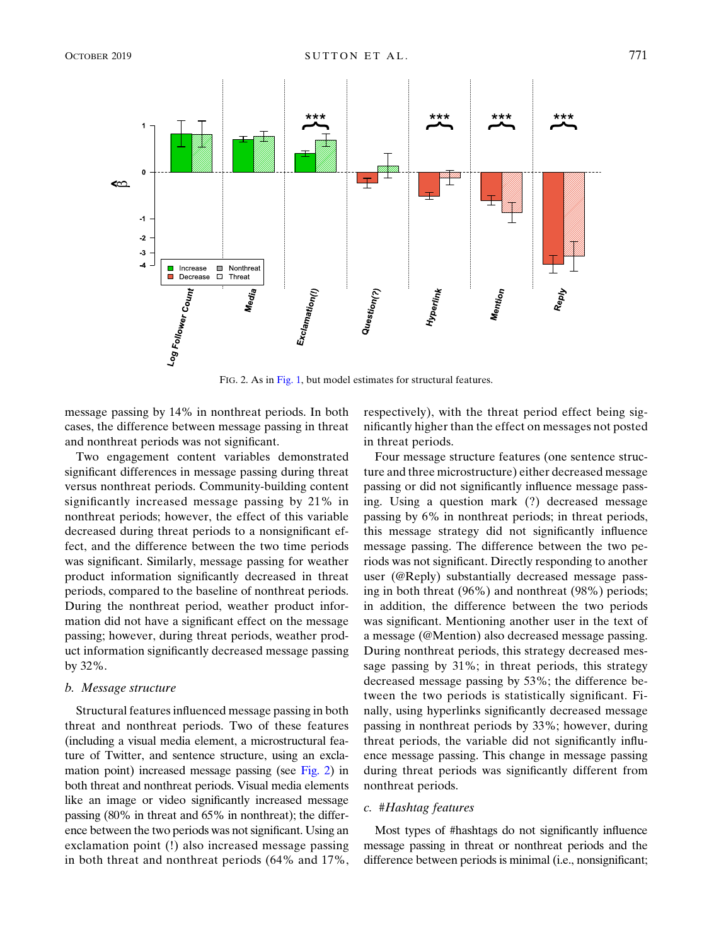<span id="page-8-0"></span>

FIG. 2. As in [Fig. 1,](#page-7-0) but model estimates for structural features.

message passing by 14% in nonthreat periods. In both cases, the difference between message passing in threat and nonthreat periods was not significant.

Two engagement content variables demonstrated significant differences in message passing during threat versus nonthreat periods. Community-building content significantly increased message passing by 21% in nonthreat periods; however, the effect of this variable decreased during threat periods to a nonsignificant effect, and the difference between the two time periods was significant. Similarly, message passing for weather product information significantly decreased in threat periods, compared to the baseline of nonthreat periods. During the nonthreat period, weather product information did not have a significant effect on the message passing; however, during threat periods, weather product information significantly decreased message passing by 32%.

## b. Message structure

Structural features influenced message passing in both threat and nonthreat periods. Two of these features (including a visual media element, a microstructural feature of Twitter, and sentence structure, using an exclamation point) increased message passing (see [Fig. 2\)](#page-8-0) in both threat and nonthreat periods. Visual media elements like an image or video significantly increased message passing (80% in threat and 65% in nonthreat); the difference between the two periods was not significant. Using an exclamation point (!) also increased message passing in both threat and nonthreat periods (64% and 17%, respectively), with the threat period effect being significantly higher than the effect on messages not posted in threat periods.

Four message structure features (one sentence structure and three microstructure) either decreased message passing or did not significantly influence message passing. Using a question mark (?) decreased message passing by 6% in nonthreat periods; in threat periods, this message strategy did not significantly influence message passing. The difference between the two periods was not significant. Directly responding to another user (@Reply) substantially decreased message passing in both threat (96%) and nonthreat (98%) periods; in addition, the difference between the two periods was significant. Mentioning another user in the text of a message (@Mention) also decreased message passing. During nonthreat periods, this strategy decreased message passing by 31%; in threat periods, this strategy decreased message passing by 53%; the difference between the two periods is statistically significant. Finally, using hyperlinks significantly decreased message passing in nonthreat periods by 33%; however, during threat periods, the variable did not significantly influence message passing. This change in message passing during threat periods was significantly different from nonthreat periods.

#### c. #Hashtag features

Most types of #hashtags do not significantly influence message passing in threat or nonthreat periods and the difference between periods is minimal (i.e., nonsignificant;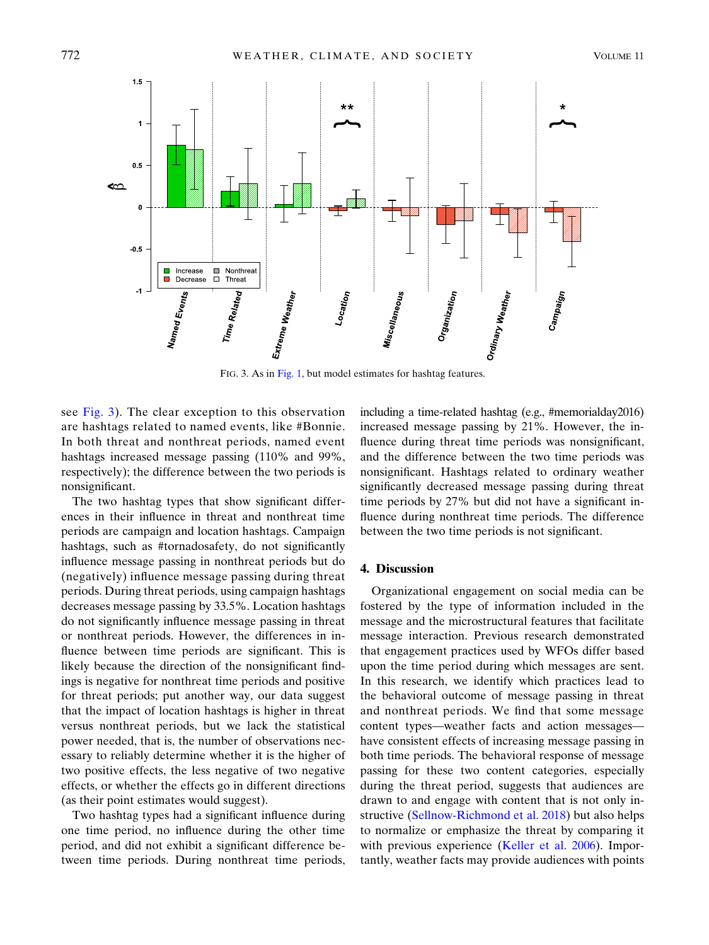<span id="page-9-0"></span>

FIG. 3. As in [Fig. 1](#page-7-0), but model estimates for hashtag features.

see [Fig. 3\)](#page-9-0). The clear exception to this observation are hashtags related to named events, like #Bonnie. In both threat and nonthreat periods, named event hashtags increased message passing (110% and 99%, respectively); the difference between the two periods is nonsignificant.

The two hashtag types that show significant differences in their influence in threat and nonthreat time periods are campaign and location hashtags. Campaign hashtags, such as #tornadosafety, do not significantly influence message passing in nonthreat periods but do (negatively) influence message passing during threat periods. During threat periods, using campaign hashtags decreases message passing by 33.5%. Location hashtags do not significantly influence message passing in threat or nonthreat periods. However, the differences in influence between time periods are significant. This is likely because the direction of the nonsignificant findings is negative for nonthreat time periods and positive for threat periods; put another way, our data suggest that the impact of location hashtags is higher in threat versus nonthreat periods, but we lack the statistical power needed, that is, the number of observations necessary to reliably determine whether it is the higher of two positive effects, the less negative of two negative effects, or whether the effects go in different directions (as their point estimates would suggest).

Two hashtag types had a significant influence during one time period, no influence during the other time period, and did not exhibit a significant difference between time periods. During nonthreat time periods,

including a time-related hashtag (e.g., #memorialday2016) increased message passing by 21%. However, the influence during threat time periods was nonsignificant, and the difference between the two time periods was nonsignificant. Hashtags related to ordinary weather significantly decreased message passing during threat time periods by 27% but did not have a significant influence during nonthreat time periods. The difference between the two time periods is not significant.

# 4. Discussion

Organizational engagement on social media can be fostered by the type of information included in the message and the microstructural features that facilitate message interaction. Previous research demonstrated that engagement practices used by WFOs differ based upon the time period during which messages are sent. In this research, we identify which practices lead to the behavioral outcome of message passing in threat and nonthreat periods. We find that some message content types—weather facts and action messages have consistent effects of increasing message passing in both time periods. The behavioral response of message passing for these two content categories, especially during the threat period, suggests that audiences are drawn to and engage with content that is not only instructive [\(Sellnow-Richmond et al. 2018](#page-12-15)) but also helps to normalize or emphasize the threat by comparing it with previous experience ([Keller et al. 2006](#page-12-16)). Importantly, weather facts may provide audiences with points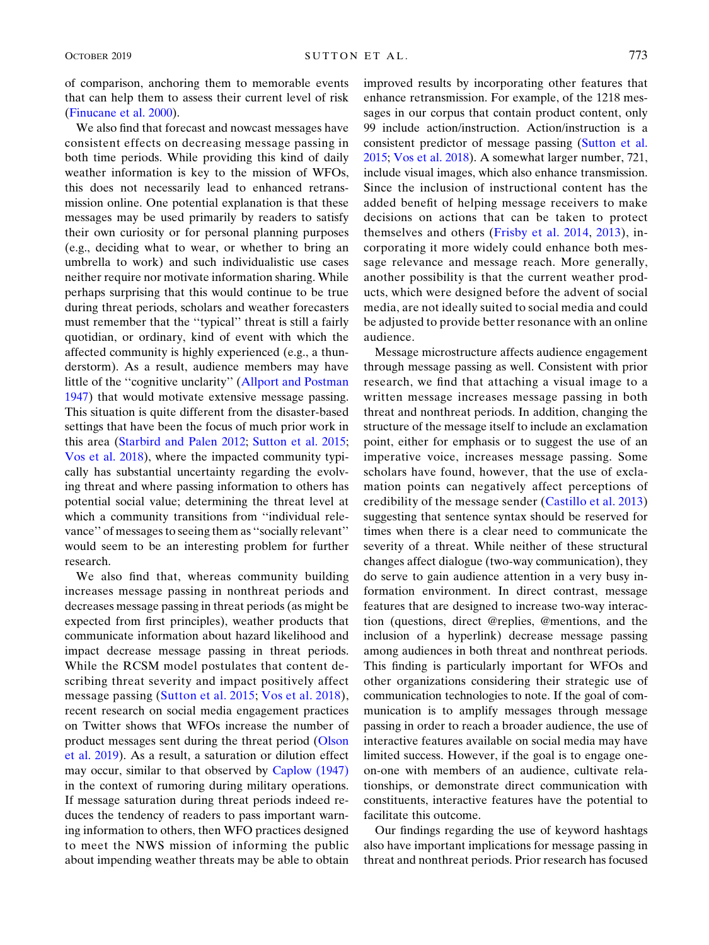of comparison, anchoring them to memorable events that can help them to assess their current level of risk [\(Finucane et al. 2000\)](#page-12-17).

We also find that forecast and nowcast messages have consistent effects on decreasing message passing in both time periods. While providing this kind of daily weather information is key to the mission of WFOs, this does not necessarily lead to enhanced retransmission online. One potential explanation is that these messages may be used primarily by readers to satisfy their own curiosity or for personal planning purposes (e.g., deciding what to wear, or whether to bring an umbrella to work) and such individualistic use cases neither require nor motivate information sharing. While perhaps surprising that this would continue to be true during threat periods, scholars and weather forecasters must remember that the ''typical'' threat is still a fairly quotidian, or ordinary, kind of event with which the affected community is highly experienced (e.g., a thunderstorm). As a result, audience members may have little of the ''cognitive unclarity'' ([Allport and Postman](#page-12-9) [1947\)](#page-12-9) that would motivate extensive message passing. This situation is quite different from the disaster-based settings that have been the focus of much prior work in this area [\(Starbird and Palen 2012](#page-13-8); [Sutton et al. 2015;](#page-13-2) [Vos et al. 2018\)](#page-13-3), where the impacted community typically has substantial uncertainty regarding the evolving threat and where passing information to others has potential social value; determining the threat level at which a community transitions from "individual relevance'' of messages to seeing them as ''socially relevant'' would seem to be an interesting problem for further research.

We also find that, whereas community building increases message passing in nonthreat periods and decreases message passing in threat periods (as might be expected from first principles), weather products that communicate information about hazard likelihood and impact decrease message passing in threat periods. While the RCSM model postulates that content describing threat severity and impact positively affect message passing ([Sutton et al. 2015](#page-13-2); [Vos et al. 2018\)](#page-13-3), recent research on social media engagement practices on Twitter shows that WFOs increase the number of product messages sent during the threat period [\(Olson](#page-12-2) [et al. 2019\)](#page-12-2). As a result, a saturation or dilution effect may occur, similar to that observed by [Caplow \(1947\)](#page-12-18) in the context of rumoring during military operations. If message saturation during threat periods indeed reduces the tendency of readers to pass important warning information to others, then WFO practices designed to meet the NWS mission of informing the public about impending weather threats may be able to obtain improved results by incorporating other features that enhance retransmission. For example, of the 1218 messages in our corpus that contain product content, only 99 include action/instruction. Action/instruction is a consistent predictor of message passing [\(Sutton et al.](#page-13-2) [2015;](#page-13-2) [Vos et al. 2018](#page-13-3)). A somewhat larger number, 721, include visual images, which also enhance transmission. Since the inclusion of instructional content has the added benefit of helping message receivers to make decisions on actions that can be taken to protect themselves and others ([Frisby et al. 2014,](#page-12-19) [2013\)](#page-12-20), incorporating it more widely could enhance both message relevance and message reach. More generally, another possibility is that the current weather products, which were designed before the advent of social media, are not ideally suited to social media and could be adjusted to provide better resonance with an online audience.

Message microstructure affects audience engagement through message passing as well. Consistent with prior research, we find that attaching a visual image to a written message increases message passing in both threat and nonthreat periods. In addition, changing the structure of the message itself to include an exclamation point, either for emphasis or to suggest the use of an imperative voice, increases message passing. Some scholars have found, however, that the use of exclamation points can negatively affect perceptions of credibility of the message sender ([Castillo et al. 2013](#page-12-21)) suggesting that sentence syntax should be reserved for times when there is a clear need to communicate the severity of a threat. While neither of these structural changes affect dialogue (two-way communication), they do serve to gain audience attention in a very busy information environment. In direct contrast, message features that are designed to increase two-way interaction (questions, direct @replies, @mentions, and the inclusion of a hyperlink) decrease message passing among audiences in both threat and nonthreat periods. This finding is particularly important for WFOs and other organizations considering their strategic use of communication technologies to note. If the goal of communication is to amplify messages through message passing in order to reach a broader audience, the use of interactive features available on social media may have limited success. However, if the goal is to engage oneon-one with members of an audience, cultivate relationships, or demonstrate direct communication with constituents, interactive features have the potential to facilitate this outcome.

Our findings regarding the use of keyword hashtags also have important implications for message passing in threat and nonthreat periods. Prior research has focused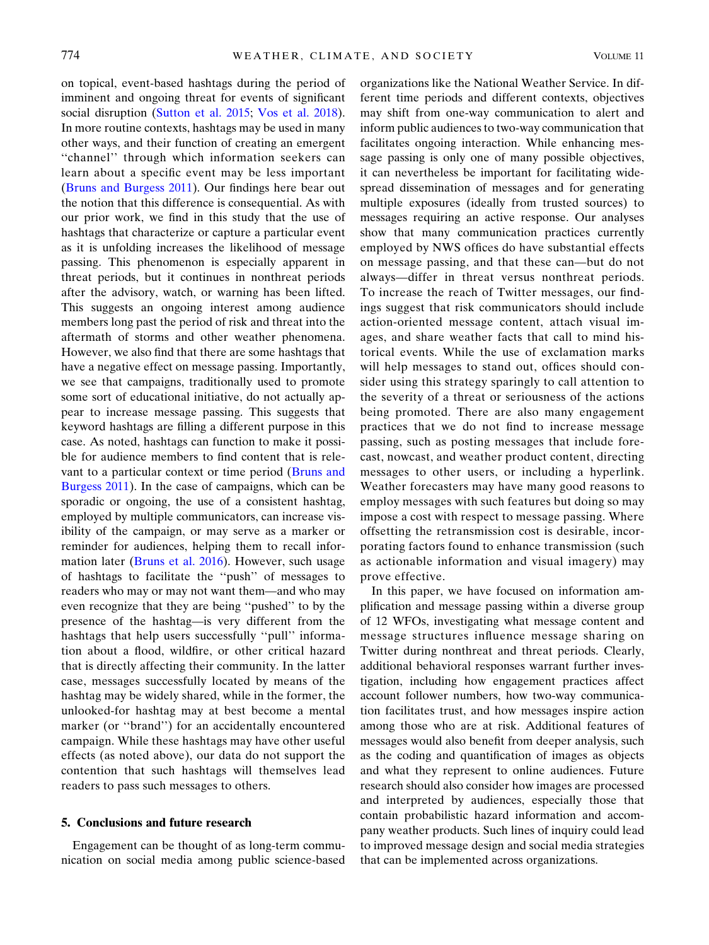on topical, event-based hashtags during the period of imminent and ongoing threat for events of significant social disruption [\(Sutton et al. 2015](#page-13-2); [Vos et al. 2018](#page-13-3)). In more routine contexts, hashtags may be used in many other ways, and their function of creating an emergent ''channel'' through which information seekers can learn about a specific event may be less important ([Bruns and Burgess 2011\)](#page-12-22). Our findings here bear out the notion that this difference is consequential. As with our prior work, we find in this study that the use of hashtags that characterize or capture a particular event as it is unfolding increases the likelihood of message passing. This phenomenon is especially apparent in threat periods, but it continues in nonthreat periods after the advisory, watch, or warning has been lifted. This suggests an ongoing interest among audience members long past the period of risk and threat into the aftermath of storms and other weather phenomena. However, we also find that there are some hashtags that have a negative effect on message passing. Importantly, we see that campaigns, traditionally used to promote some sort of educational initiative, do not actually appear to increase message passing. This suggests that keyword hashtags are filling a different purpose in this case. As noted, hashtags can function to make it possible for audience members to find content that is relevant to a particular context or time period [\(Bruns and](#page-12-22) [Burgess 2011](#page-12-22)). In the case of campaigns, which can be sporadic or ongoing, the use of a consistent hashtag, employed by multiple communicators, can increase visibility of the campaign, or may serve as a marker or reminder for audiences, helping them to recall information later [\(Bruns et al. 2016](#page-12-23)). However, such usage of hashtags to facilitate the ''push'' of messages to readers who may or may not want them—and who may even recognize that they are being ''pushed'' to by the presence of the hashtag—is very different from the hashtags that help users successfully "pull" information about a flood, wildfire, or other critical hazard that is directly affecting their community. In the latter case, messages successfully located by means of the hashtag may be widely shared, while in the former, the unlooked-for hashtag may at best become a mental marker (or ''brand'') for an accidentally encountered campaign. While these hashtags may have other useful effects (as noted above), our data do not support the contention that such hashtags will themselves lead readers to pass such messages to others.

#### 5. Conclusions and future research

Engagement can be thought of as long-term communication on social media among public science-based organizations like the National Weather Service. In different time periods and different contexts, objectives may shift from one-way communication to alert and inform public audiences to two-way communication that facilitates ongoing interaction. While enhancing message passing is only one of many possible objectives, it can nevertheless be important for facilitating widespread dissemination of messages and for generating multiple exposures (ideally from trusted sources) to messages requiring an active response. Our analyses show that many communication practices currently employed by NWS offices do have substantial effects on message passing, and that these can—but do not always—differ in threat versus nonthreat periods. To increase the reach of Twitter messages, our findings suggest that risk communicators should include action-oriented message content, attach visual images, and share weather facts that call to mind historical events. While the use of exclamation marks will help messages to stand out, offices should consider using this strategy sparingly to call attention to the severity of a threat or seriousness of the actions being promoted. There are also many engagement practices that we do not find to increase message passing, such as posting messages that include forecast, nowcast, and weather product content, directing messages to other users, or including a hyperlink. Weather forecasters may have many good reasons to employ messages with such features but doing so may impose a cost with respect to message passing. Where offsetting the retransmission cost is desirable, incorporating factors found to enhance transmission (such as actionable information and visual imagery) may prove effective.

In this paper, we have focused on information amplification and message passing within a diverse group of 12 WFOs, investigating what message content and message structures influence message sharing on Twitter during nonthreat and threat periods. Clearly, additional behavioral responses warrant further investigation, including how engagement practices affect account follower numbers, how two-way communication facilitates trust, and how messages inspire action among those who are at risk. Additional features of messages would also benefit from deeper analysis, such as the coding and quantification of images as objects and what they represent to online audiences. Future research should also consider how images are processed and interpreted by audiences, especially those that contain probabilistic hazard information and accompany weather products. Such lines of inquiry could lead to improved message design and social media strategies that can be implemented across organizations.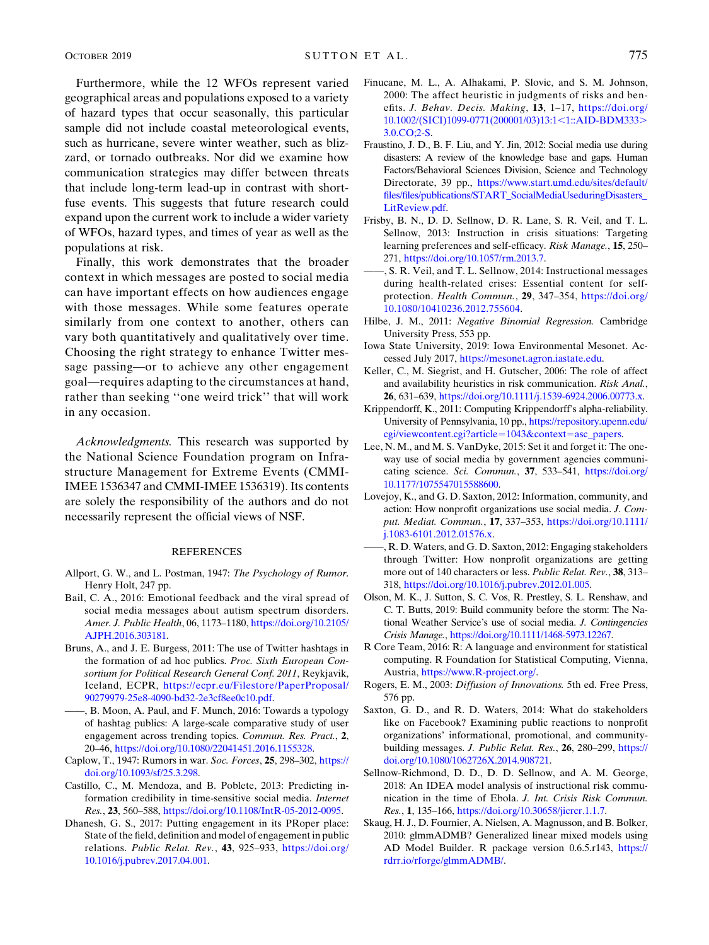Furthermore, while the 12 WFOs represent varied geographical areas and populations exposed to a variety of hazard types that occur seasonally, this particular sample did not include coastal meteorological events, such as hurricane, severe winter weather, such as blizzard, or tornado outbreaks. Nor did we examine how communication strategies may differ between threats that include long-term lead-up in contrast with shortfuse events. This suggests that future research could expand upon the current work to include a wider variety of WFOs, hazard types, and times of year as well as the populations at risk.

Finally, this work demonstrates that the broader context in which messages are posted to social media can have important effects on how audiences engage with those messages. While some features operate similarly from one context to another, others can vary both quantitatively and qualitatively over time. Choosing the right strategy to enhance Twitter message passing—or to achieve any other engagement goal—requires adapting to the circumstances at hand, rather than seeking ''one weird trick'' that will work in any occasion.

Acknowledgments. This research was supported by the National Science Foundation program on Infrastructure Management for Extreme Events (CMMI-IMEE 1536347 and CMMI-IMEE 1536319). Its contents are solely the responsibility of the authors and do not necessarily represent the official views of NSF.

#### **REFERENCES**

- <span id="page-12-9"></span>Allport, G. W., and L. Postman, 1947: The Psychology of Rumor. Henry Holt, 247 pp.
- <span id="page-12-5"></span>Bail, C. A., 2016: Emotional feedback and the viral spread of social media messages about autism spectrum disorders. Amer. J. Public Health, 06, 1173–1180, [https://doi.org/10.2105/](https://doi.org/10.2105/AJPH.2016.303181) [AJPH.2016.303181](https://doi.org/10.2105/AJPH.2016.303181).
- <span id="page-12-22"></span>Bruns, A., and J. E. Burgess, 2011: The use of Twitter hashtags in the formation of ad hoc publics. Proc. Sixth European Consortium for Political Research General Conf. 2011, Reykjavik, Iceland, ECPR, [https://ecpr.eu/Filestore/PaperProposal/](https://ecpr.eu/Filestore/PaperProposal/90279979-25e8-4090-bd32-2e3cf8ee0c10.pdf) [90279979-25e8-4090-bd32-2e3cf8ee0c10.pdf.](https://ecpr.eu/Filestore/PaperProposal/90279979-25e8-4090-bd32-2e3cf8ee0c10.pdf)
- <span id="page-12-23"></span>——, B. Moon, A. Paul, and F. Munch, 2016: Towards a typology of hashtag publics: A large-scale comparative study of user engagement across trending topics. Commun. Res. Pract., 2, 20–46, [https://doi.org/10.1080/22041451.2016.1155328.](https://doi.org/10.1080/22041451.2016.1155328)
- <span id="page-12-18"></span>Caplow, T., 1947: Rumors in war. Soc. Forces, 25, 298–302, [https://](https://doi.org/10.1093/sf/25.3.298) [doi.org/10.1093/sf/25.3.298](https://doi.org/10.1093/sf/25.3.298).
- <span id="page-12-21"></span>Castillo, C., M. Mendoza, and B. Poblete, 2013: Predicting information credibility in time-sensitive social media. Internet Res., 23, 560–588, [https://doi.org/10.1108/IntR-05-2012-0095.](https://doi.org/10.1108/IntR-05-2012-0095)
- <span id="page-12-1"></span>Dhanesh, G. S., 2017: Putting engagement in its PRoper place: State of the field, definition and model of engagement in public relations. Public Relat. Rev., 43, 925–933, [https://doi.org/](https://doi.org/10.1016/j.pubrev.2017.04.001) [10.1016/j.pubrev.2017.04.001.](https://doi.org/10.1016/j.pubrev.2017.04.001)
- <span id="page-12-17"></span>Finucane, M. L., A. Alhakami, P. Slovic, and S. M. Johnson, 2000: The affect heuristic in judgments of risks and benefits. J. Behav. Decis. Making, 13, 1–17, [https://doi.org/](https://doi.org/10.1002/(SICI)1099-0771(200001/03)13:1<1::AID-BDM333>3.0.CO;2-S) [10.1002/\(SICI\)1099-0771\(200001/03\)13:1](https://doi.org/10.1002/(SICI)1099-0771(200001/03)13:1<1::AID-BDM333>3.0.CO;2-S)<1::AID-BDM333> [3.0.CO;2-S](https://doi.org/10.1002/(SICI)1099-0771(200001/03)13:1<1::AID-BDM333>3.0.CO;2-S).
- <span id="page-12-6"></span>Fraustino, J. D., B. F. Liu, and Y. Jin, 2012: Social media use during disasters: A review of the knowledge base and gaps. Human Factors/Behavioral Sciences Division, Science and Technology Directorate, 39 pp., [https://www.start.umd.edu/sites/default/](https://www.start.umd.edu/sites/default/files/files/publications/START_SocialMediaUseduringDisasters_LitReview.pdf) [files/files/publications/START\\_SocialMediaUseduringDisasters\\_](https://www.start.umd.edu/sites/default/files/files/publications/START_SocialMediaUseduringDisasters_LitReview.pdf) [LitReview.pdf.](https://www.start.umd.edu/sites/default/files/files/publications/START_SocialMediaUseduringDisasters_LitReview.pdf)
- <span id="page-12-20"></span>Frisby, B. N., D. D. Sellnow, D. R. Lane, S. R. Veil, and T. L. Sellnow, 2013: Instruction in crisis situations: Targeting learning preferences and self-efficacy. Risk Manage., 15, 250– 271, [https://doi.org/10.1057/rm.2013.7.](https://doi.org/10.1057/rm.2013.7)
- <span id="page-12-19"></span>——, S. R. Veil, and T. L. Sellnow, 2014: Instructional messages during health-related crises: Essential content for selfprotection. Health Commun., 29, 347–354, [https://doi.org/](https://doi.org/10.1080/10410236.2012.755604) [10.1080/10410236.2012.755604](https://doi.org/10.1080/10410236.2012.755604).
- <span id="page-12-12"></span>Hilbe, J. M., 2011: Negative Binomial Regression. Cambridge University Press, 553 pp.
- <span id="page-12-10"></span>Iowa State University, 2019: Iowa Environmental Mesonet. Accessed July 2017, <https://mesonet.agron.iastate.edu>.
- <span id="page-12-16"></span>Keller, C., M. Siegrist, and H. Gutscher, 2006: The role of affect and availability heuristics in risk communication. Risk Anal., 26, 631–639, [https://doi.org/10.1111/j.1539-6924.2006.00773.x.](https://doi.org/10.1111/j.1539-6924.2006.00773.x)
- <span id="page-12-11"></span>Krippendorff, K., 2011: Computing Krippendorff's alpha-reliability. University of Pennsylvania, 10 pp., [https://repository.upenn.edu/](https://repository.upenn.edu/cgi/viewcontent.cgi?article=1043&context=asc_papers)  $cgi/viewcontent.cgi?article = 1043&context = asc\_papers.$  $cgi/viewcontent.cgi?article = 1043&context = asc\_papers.$
- <span id="page-12-3"></span>Lee, N. M., and M. S. VanDyke, 2015: Set it and forget it: The oneway use of social media by government agencies communicating science. Sci. Commun., 37, 533–541, [https://doi.org/](https://doi.org/10.1177/1075547015588600) [10.1177/1075547015588600](https://doi.org/10.1177/1075547015588600).
- <span id="page-12-0"></span>Lovejoy, K., and G. D. Saxton, 2012: Information, community, and action: How nonprofit organizations use social media. J. Comput. Mediat. Commun., 17, 337–353, [https://doi.org/10.1111/](https://doi.org/10.1111/j.1083-6101.2012.01576.x) [j.1083-6101.2012.01576.x.](https://doi.org/10.1111/j.1083-6101.2012.01576.x)
- <span id="page-12-7"></span>-, R. D. Waters, and G. D. Saxton, 2012: Engaging stakeholders through Twitter: How nonprofit organizations are getting more out of 140 characters or less. Public Relat. Rev., 38, 313– 318, <https://doi.org/10.1016/j.pubrev.2012.01.005>.
- <span id="page-12-2"></span>Olson, M. K., J. Sutton, S. C. Vos, R. Prestley, S. L. Renshaw, and C. T. Butts, 2019: Build community before the storm: The National Weather Service's use of social media. J. Contingencies Crisis Manage., [https://doi.org/10.1111/1468-5973.12267.](https://doi.org/10.1111/1468-5973.12267)
- <span id="page-12-14"></span>R Core Team, 2016: R: A language and environment for statistical computing. R Foundation for Statistical Computing, Vienna, Austria, [https://www.R-project.org/.](https://www.R-project.org/)
- <span id="page-12-8"></span>Rogers, E. M., 2003: Diffusion of Innovations. 5th ed. Free Press, 576 pp.
- <span id="page-12-4"></span>Saxton, G. D., and R. D. Waters, 2014: What do stakeholders like on Facebook? Examining public reactions to nonprofit organizations' informational, promotional, and communitybuilding messages. J. Public Relat. Res., 26, 280–299, [https://](https://doi.org/10.1080/1062726X.2014.908721) [doi.org/10.1080/1062726X.2014.908721](https://doi.org/10.1080/1062726X.2014.908721).
- <span id="page-12-15"></span>Sellnow-Richmond, D. D., D. D. Sellnow, and A. M. George, 2018: An IDEA model analysis of instructional risk communication in the time of Ebola. J. Int. Crisis Risk Commun. Res., 1, 135–166, <https://doi.org/10.30658/jicrcr.1.1.7>.
- <span id="page-12-13"></span>Skaug, H. J., D. Fournier, A. Nielsen, A. Magnusson, and B. Bolker, 2010: glmmADMB? Generalized linear mixed models using AD Model Builder. R package version 0.6.5.r143, [https://](https://rdrr.io/rforge/glmmADMB/) [rdrr.io/rforge/glmmADMB/.](https://rdrr.io/rforge/glmmADMB/)